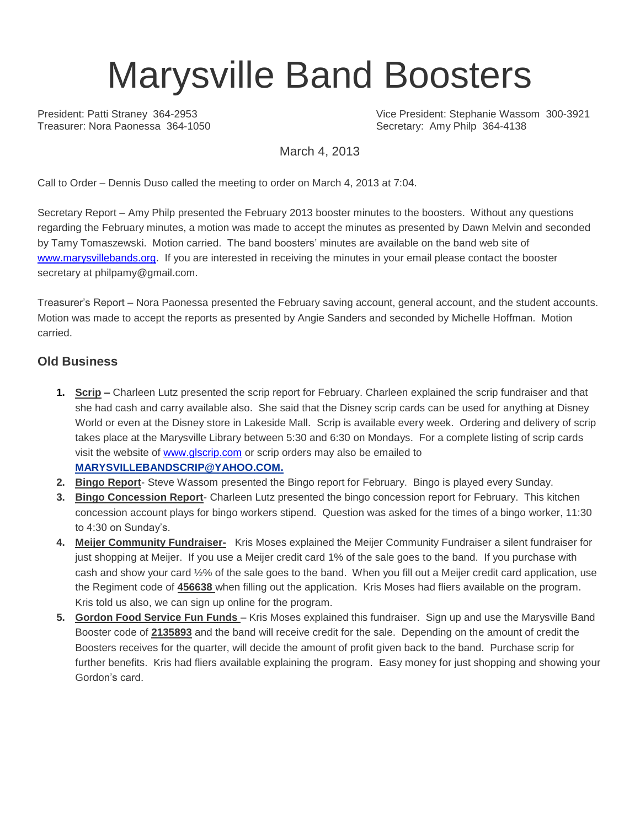# Marysville Band Boosters

Treasurer: Nora Paonessa 364-1050 Secretary: Amy Philp 364-4138

President: Patti Straney 364-2953 Vice President: Stephanie Wassom 300-3921

March 4, 2013

Call to Order – Dennis Duso called the meeting to order on March 4, 2013 at 7:04.

Secretary Report – Amy Philp presented the February 2013 booster minutes to the boosters. Without any questions regarding the February minutes, a motion was made to accept the minutes as presented by Dawn Melvin and seconded by Tamy Tomaszewski. Motion carried. The band boosters' minutes are available on the band web site of [www.marysvillebands.org.](http://www.marysvillebands.org/) If you are interested in receiving the minutes in your email please contact the booster secretary at philpamy@gmail.com.

Treasurer's Report – Nora Paonessa presented the February saving account, general account, and the student accounts. Motion was made to accept the reports as presented by Angie Sanders and seconded by Michelle Hoffman. Motion carried.

## **Old Business**

- **1. Scrip –** Charleen Lutz presented the scrip report for February. Charleen explained the scrip fundraiser and that she had cash and carry available also. She said that the Disney scrip cards can be used for anything at Disney World or even at the Disney store in Lakeside Mall. Scrip is available every week. Ordering and delivery of scrip takes place at the Marysville Library between 5:30 and 6:30 on Mondays. For a complete listing of scrip cards visit the website of [www.glscrip.com](http://www.glscrip.com/) or scrip orders may also be emailed to **[MARYSVILLEBANDSCRIP@YAHOO.COM.](http://us.f838.mail.yahoo.com/ym/Compose?To=MARYSVILLEBANDSCRIP@YAHOO.COM%20/%20_blank)**
- **2. Bingo Report** Steve Wassom presented the Bingo report for February. Bingo is played every Sunday.
- **3. Bingo Concession Report** Charleen Lutz presented the bingo concession report for February. This kitchen concession account plays for bingo workers stipend. Question was asked for the times of a bingo worker, 11:30 to 4:30 on Sunday's.
- **4. Meijer Community Fundraiser-** Kris Moses explained the Meijer Community Fundraiser a silent fundraiser for just shopping at Meijer. If you use a Meijer credit card 1% of the sale goes to the band. If you purchase with cash and show your card ½% of the sale goes to the band. When you fill out a Meijer credit card application, use the Regiment code of **456638** when filling out the application. Kris Moses had fliers available on the program. Kris told us also, we can sign up online for the program.
- **5. Gordon Food Service Fun Funds**  Kris Moses explained this fundraiser. Sign up and use the Marysville Band Booster code of **2135893** and the band will receive credit for the sale. Depending on the amount of credit the Boosters receives for the quarter, will decide the amount of profit given back to the band. Purchase scrip for further benefits. Kris had fliers available explaining the program. Easy money for just shopping and showing your Gordon's card.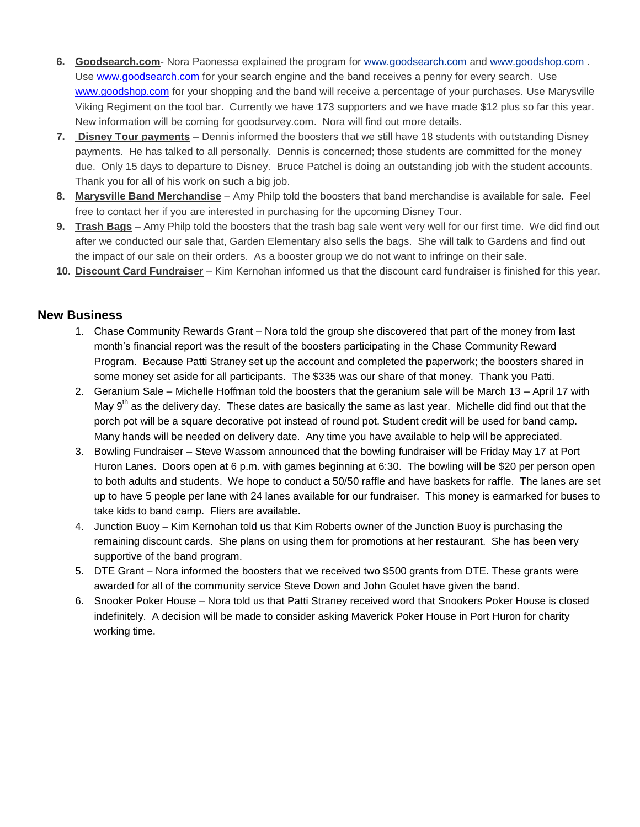- **6. Goodsearch.com** Nora Paonessa explained the program for [www.goodsearch.com](http://www.goodsearch.com/) and [www.goodshop.com](http://www.goodshop.com/) . Use [www.goodsearch.com](http://www.goodsearch.com/) for your search engine and the band receives a penny for every search. Use [www.goodshop.com](http://www.goodshop.com/) for your shopping and the band will receive a percentage of your purchases. Use Marysville Viking Regiment on the tool bar. Currently we have 173 supporters and we have made \$12 plus so far this year. New information will be coming for goodsurvey.com. Nora will find out more details.
- **7. Disney Tour payments** Dennis informed the boosters that we still have 18 students with outstanding Disney payments. He has talked to all personally. Dennis is concerned; those students are committed for the money due. Only 15 days to departure to Disney. Bruce Patchel is doing an outstanding job with the student accounts. Thank you for all of his work on such a big job.
- **8. Marysville Band Merchandise** Amy Philp told the boosters that band merchandise is available for sale. Feel free to contact her if you are interested in purchasing for the upcoming Disney Tour.
- **9. Trash Bags** Amy Philp told the boosters that the trash bag sale went very well for our first time. We did find out after we conducted our sale that, Garden Elementary also sells the bags. She will talk to Gardens and find out the impact of our sale on their orders. As a booster group we do not want to infringe on their sale.
- **10. Discount Card Fundraiser** Kim Kernohan informed us that the discount card fundraiser is finished for this year.

#### **New Business**

- 1. Chase Community Rewards Grant Nora told the group she discovered that part of the money from last month's financial report was the result of the boosters participating in the Chase Community Reward Program. Because Patti Straney set up the account and completed the paperwork; the boosters shared in some money set aside for all participants. The \$335 was our share of that money. Thank you Patti.
- 2. Geranium Sale Michelle Hoffman told the boosters that the geranium sale will be March 13 April 17 with May  $9<sup>th</sup>$  as the delivery day. These dates are basically the same as last year. Michelle did find out that the porch pot will be a square decorative pot instead of round pot. Student credit will be used for band camp. Many hands will be needed on delivery date. Any time you have available to help will be appreciated.
- 3. Bowling Fundraiser Steve Wassom announced that the bowling fundraiser will be Friday May 17 at Port Huron Lanes. Doors open at 6 p.m. with games beginning at 6:30. The bowling will be \$20 per person open to both adults and students. We hope to conduct a 50/50 raffle and have baskets for raffle. The lanes are set up to have 5 people per lane with 24 lanes available for our fundraiser. This money is earmarked for buses to take kids to band camp. Fliers are available.
- 4. Junction Buoy Kim Kernohan told us that Kim Roberts owner of the Junction Buoy is purchasing the remaining discount cards. She plans on using them for promotions at her restaurant. She has been very supportive of the band program.
- 5. DTE Grant Nora informed the boosters that we received two \$500 grants from DTE. These grants were awarded for all of the community service Steve Down and John Goulet have given the band.
- 6. Snooker Poker House Nora told us that Patti Straney received word that Snookers Poker House is closed indefinitely. A decision will be made to consider asking Maverick Poker House in Port Huron for charity working time.